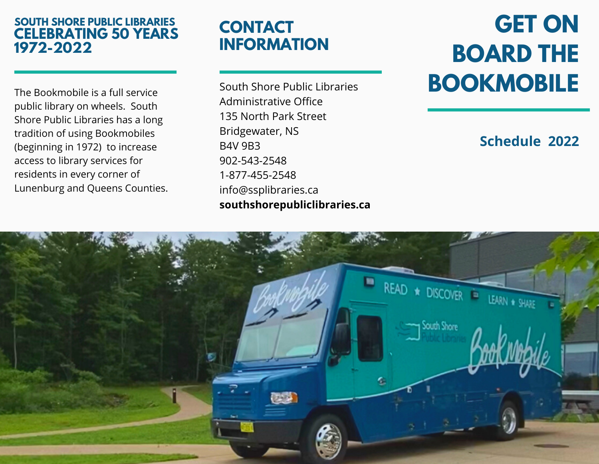#### **SOUTH SHORE PUBLIC LIBRARIES CELEBRATING 50 YEARS 1972-2022**

The Bookmobile is a full service public library on wheels. South Shore Public Libraries has a long tradition of using Bookmobiles (beginning in 1972) to increase access to library services for residents in every corner of Lunenburg and Queens Counties.

## **CONTACT INFORMATION**

South Shore Public Libraries Administrative Office 135 North Park Street Bridgewater, NS B4V 9B3 902-543-2548 1-877-455-2548 info@ssplibraries.ca **southshorepubliclibraries.ca**

# **GET ON BOARD THE BOOKMOBILE**

## **Schedule 2022**